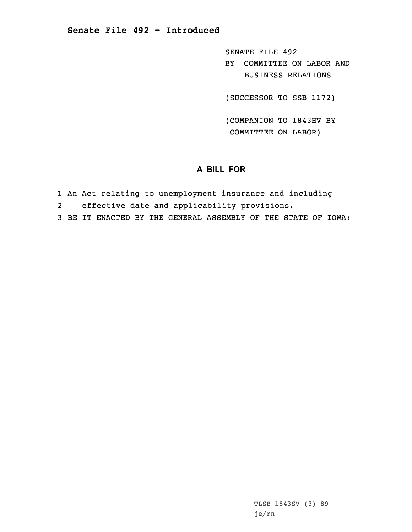SENATE FILE 492 BY COMMITTEE ON LABOR AND BUSINESS RELATIONS

(SUCCESSOR TO SSB 1172)

(COMPANION TO 1843HV BY COMMITTEE ON LABOR)

## **A BILL FOR**

- 1 An Act relating to unemployment insurance and including
- 2effective date and applicability provisions.

3 BE IT ENACTED BY THE GENERAL ASSEMBLY OF THE STATE OF IOWA: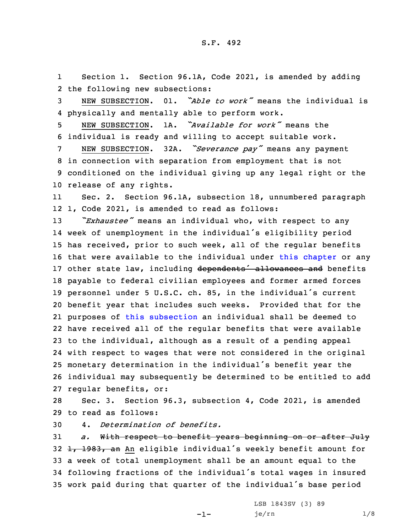1 Section 1. Section 96.1A, Code 2021, is amended by adding 2 the following new subsections:

3 NEW SUBSECTION. 01. *"Able to work"* means the individual is 4 physically and mentally able to perform work.

5 NEW SUBSECTION. 1A. *"Available for work"* means the 6 individual is ready and willing to accept suitable work.

 NEW SUBSECTION. 32A. *"Severance pay"* means any payment in connection with separation from employment that is not conditioned on the individual giving up any legal right or the release of any rights.

11 Sec. 2. Section 96.1A, subsection 18, unnumbered paragraph 12 1, Code 2021, is amended to read as follows:

 *"Exhaustee"* means an individual who, with respect to any week of unemployment in the individual's eligibility period has received, prior to such week, all of the regular benefits that were available to the individual under this [chapter](https://www.legis.iowa.gov/docs/code/2021/96.pdf) or any 17 other state law, including dependents<sup>1</sup> allowances and benefits payable to federal civilian employees and former armed forces personnel under <sup>5</sup> U.S.C. ch. 85, in the individual's current benefit year that includes such weeks. Provided that for the purposes of this [subsection](https://www.legis.iowa.gov/docs/code/2021/96.1A.pdf) an individual shall be deemed to have received all of the regular benefits that were available to the individual, although as <sup>a</sup> result of <sup>a</sup> pending appeal with respect to wages that were not considered in the original monetary determination in the individual's benefit year the individual may subsequently be determined to be entitled to add regular benefits, or:

28 Sec. 3. Section 96.3, subsection 4, Code 2021, is amended 29 to read as follows:

30 4. *Determination of benefits.*

 *a.* With respect to benefit years beginning on or after July 32 1, 1983, an An eligible individual's weekly benefit amount for <sup>a</sup> week of total unemployment shall be an amount equal to the following fractions of the individual's total wages in insured work paid during that quarter of the individual's base period

-1-

LSB 1843SV (3) 89 je/rn 1/8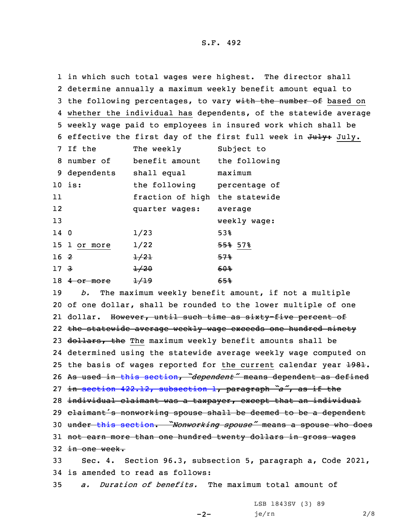1 in which such total wages were highest. The director shall 2 determine annually <sup>a</sup> maximum weekly benefit amount equal to 3 the following percentages, to vary with the number of based on 4 whether the individual has dependents, of the statewide average 5 weekly wage paid to employees in insured work which shall be 6 effective the first day of the first full week in July. 7 If the The weekly Subject to 8 number of benefit amount the following 9 dependents shall equal maximum 10 is: the following percentage of 11 fraction of high the statewide 12 quarter wages: average 13 weekly wage: 14 0  $1/23$  53% 15 1 or more 1/22 55% 57%  $16 \t2 \t1/21$  57%  $17$   $3$   $1/20$   $60%$ 18 4 or more  $\frac{1}{19}$  65%

 *b.* The maximum weekly benefit amount, if not <sup>a</sup> multiple of one dollar, shall be rounded to the lower multiple of one 21 dollar. <del>However, until such time as sixty-five percent of</del> the statewide average weekly wage exceeds one hundred ninety 23 dollars, the The maximum weekly benefit amounts shall be determined using the statewide average weekly wage computed on 25 the basis of wages reported for the current calendar year  $\text{\texttt{1981}}$ . As used in this [section](https://www.legis.iowa.gov/docs/code/2021/96.3.pdf), *"dependent"* means dependent as defined in section 422.12, [subsection](https://www.legis.iowa.gov/docs/code/2021/422.12.pdf) 1, paragraph *"a"*, as if the 28 individual claimant was a taxpayer, except that an individual 29 claimant's nonworking spouse shall be deemed to be a dependent under this [section](https://www.legis.iowa.gov/docs/code/2021/96.3.pdf). *"Nonworking spouse"* means <sup>a</sup> spouse who does 31 not earn more than one hundred twenty dollars in gross wages in one week. Sec. 4. Section 96.3, subsection 5, paragraph a, Code 2021, is amended to read as follows: *a. Duration of benefits.* The maximum total amount of

 $-2-$ 

LSB 1843SV (3) 89 je/rn 2/8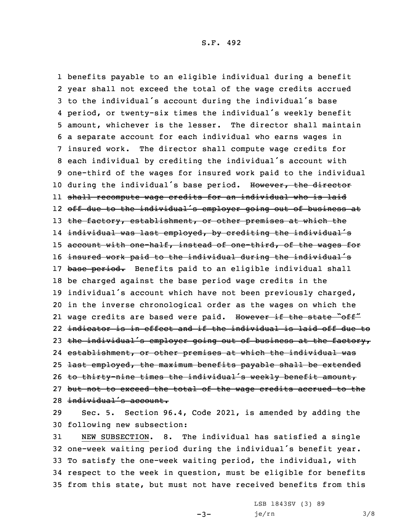benefits payable to an eligible individual during <sup>a</sup> benefit year shall not exceed the total of the wage credits accrued to the individual's account during the individual's base period, or twenty-six times the individual's weekly benefit amount, whichever is the lesser. The director shall maintain <sup>a</sup> separate account for each individual who earns wages in insured work. The director shall compute wage credits for each individual by crediting the individual's account with one-third of the wages for insured work paid to the individual 10 during the individual's base period. However, the director shall recompute wage credits for an individual who is laid off due to the individual's employer going out of business at 13 the factory, establishment, or other premises at which the individual was last employed, by crediting the individual's account with one-half, instead of one-third, of the wages for 16 insured work paid to the individual during the individual's 17 base period. Benefits paid to an eligible individual shall be charged against the base period wage credits in the individual's account which have not been previously charged, in the inverse chronological order as the wages on which the 21 wage credits are based were paid. However if the state "off" indicator is in effect and if the individual is laid off due to 23 the individual's employer going out of business at the factory, establishment, or other premises at which the individual was 25 <del>last employed, the maximum benefits payable shall be extended</del> to thirty-nine times the individual's weekly benefit amount, but not to exceed the total of the wage credits accrued to the individual's account.

29 Sec. 5. Section 96.4, Code 2021, is amended by adding the 30 following new subsection:

 NEW SUBSECTION. 8. The individual has satisfied <sup>a</sup> single one-week waiting period during the individual's benefit year. To satisfy the one-week waiting period, the individual, with respect to the week in question, must be eligible for benefits from this state, but must not have received benefits from this

 $-3-$ 

LSB 1843SV (3) 89 je/rn 3/8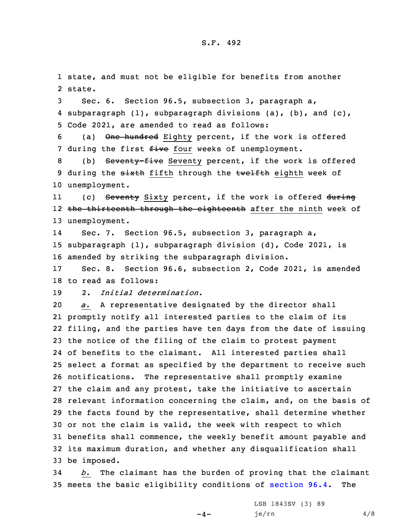1 state, and must not be eligible for benefits from another 2 state.

3 Sec. 6. Section 96.5, subsection 3, paragraph a, 4 subparagraph (1), subparagraph divisions (a), (b), and (c), 5 Code 2021, are amended to read as follows:

6 (a) One hundred Eighty percent, if the work is offered 7 during the first five four weeks of unemployment.

8 (b) Seventy-five Seventy percent, if the work is offered 9 during the sixth fifth through the twelfth eighth week of 10 unemployment.

11(c) Seventy Sixty percent, if the work is offered during 12 <del>the thirteenth through the eighteenth</del> after the ninth week of 13 unemployment.

14 Sec. 7. Section 96.5, subsection 3, paragraph a, 15 subparagraph (1), subparagraph division (d), Code 2021, is 16 amended by striking the subparagraph division.

17 Sec. 8. Section 96.6, subsection 2, Code 2021, is amended 18 to read as follows:

19 2. *Initial determination.*

 *a.* <sup>A</sup> representative designated by the director shall promptly notify all interested parties to the claim of its filing, and the parties have ten days from the date of issuing the notice of the filing of the claim to protest payment of benefits to the claimant. All interested parties shall select <sup>a</sup> format as specified by the department to receive such notifications. The representative shall promptly examine the claim and any protest, take the initiative to ascertain relevant information concerning the claim, and, on the basis of the facts found by the representative, shall determine whether or not the claim is valid, the week with respect to which benefits shall commence, the weekly benefit amount payable and its maximum duration, and whether any disqualification shall be imposed.

34 *b.* The claimant has the burden of proving that the claimant 35 meets the basic eligibility conditions of [section](https://www.legis.iowa.gov/docs/code/2021/96.4.pdf) 96.4. The

 $-4-$ 

LSB 1843SV (3) 89  $j e/rn$  4/8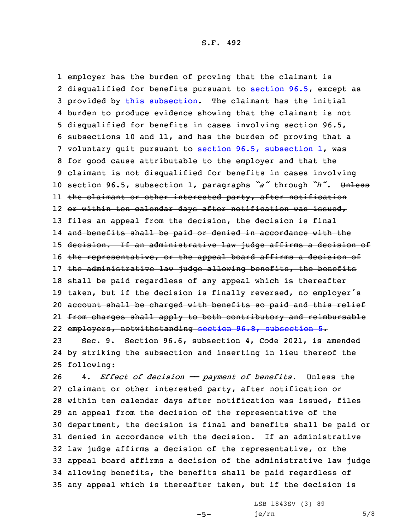employer has the burden of proving that the claimant is disqualified for benefits pursuant to [section](https://www.legis.iowa.gov/docs/code/2021/96.5.pdf) 96.5, except as provided by this [subsection](https://www.legis.iowa.gov/docs/code/2021/96.6.pdf). The claimant has the initial burden to produce evidence showing that the claimant is not disqualified for benefits in cases involving section 96.5, subsections 10 and 11, and has the burden of proving that <sup>a</sup> voluntary quit pursuant to section 96.5, [subsection](https://www.legis.iowa.gov/docs/code/2021/96.5.pdf) 1, was for good cause attributable to the employer and that the claimant is not disqualified for benefits in cases involving section 96.5, subsection 1, paragraphs *"a"* through *"h"*. Unless the claimant or other interested party, after notification or within ten calendar days after notification was issued, 13 files an appeal from the decision, the decision is final and benefits shall be paid or denied in accordance with the 15 decision. If an administrative law judge affirms a decision of 16 the representative, or the appeal board affirms a decision of 17 the administrative law judge allowing benefits, the benefits 18 shall be paid regardless of any appeal which is thereafter 19 taken, but if the decision is finally reversed, no employer's account shall be charged with benefits so paid and this relief from charges shall apply to both contributory and reimbursable employers, notwithstanding section 96.8, [subsection](https://www.legis.iowa.gov/docs/code/2021/96.8.pdf) 5.

23 Sec. 9. Section 96.6, subsection 4, Code 2021, is amended 24 by striking the subsection and inserting in lieu thereof the 25 following:

 4. *Effect of decision —— payment of benefits.* Unless the claimant or other interested party, after notification or within ten calendar days after notification was issued, files an appeal from the decision of the representative of the department, the decision is final and benefits shall be paid or denied in accordance with the decision. If an administrative law judge affirms <sup>a</sup> decision of the representative, or the appeal board affirms <sup>a</sup> decision of the administrative law judge allowing benefits, the benefits shall be paid regardless of any appeal which is thereafter taken, but if the decision is

 $-5-$ 

LSB 1843SV (3) 89  $je/rn$  5/8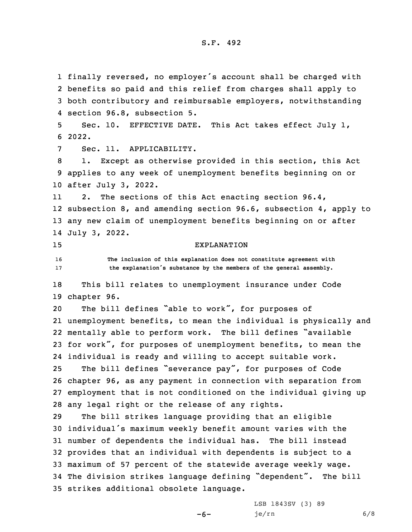finally reversed, no employer's account shall be charged with benefits so paid and this relief from charges shall apply to both contributory and reimbursable employers, notwithstanding section 96.8, subsection 5. Sec. 10. EFFECTIVE DATE. This Act takes effect July 1, 6 2022. Sec. 11. APPLICABILITY. 1. Except as otherwise provided in this section, this Act applies to any week of unemployment benefits beginning on or after July 3, 2022. 11 2. The sections of this Act enacting section 96.4, subsection 8, and amending section 96.6, subsection 4, apply to any new claim of unemployment benefits beginning on or after July 3, 2022. EXPLANATION **The inclusion of this explanation does not constitute agreement with the explanation's substance by the members of the general assembly.** This bill relates to unemployment insurance under Code chapter 96. The bill defines "able to work", for purposes of unemployment benefits, to mean the individual is physically and mentally able to perform work. The bill defines "available for work", for purposes of unemployment benefits, to mean the individual is ready and willing to accept suitable work. The bill defines "severance pay", for purposes of Code chapter 96, as any payment in connection with separation from employment that is not conditioned on the individual giving up any legal right or the release of any rights. The bill strikes language providing that an eligible individual's maximum weekly benefit amount varies with the number of dependents the individual has. The bill instead provides that an individual with dependents is subject to <sup>a</sup> maximum of 57 percent of the statewide average weekly wage. The division strikes language defining "dependent". The bill strikes additional obsolete language.

 $-6-$ 

LSB 1843SV (3) 89 je/rn 6/8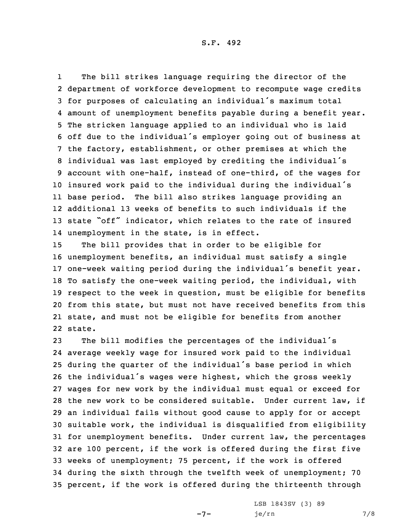1 The bill strikes language requiring the director of the department of workforce development to recompute wage credits for purposes of calculating an individual's maximum total amount of unemployment benefits payable during <sup>a</sup> benefit year. The stricken language applied to an individual who is laid off due to the individual's employer going out of business at the factory, establishment, or other premises at which the individual was last employed by crediting the individual's account with one-half, instead of one-third, of the wages for insured work paid to the individual during the individual's base period. The bill also strikes language providing an additional 13 weeks of benefits to such individuals if the state "off" indicator, which relates to the rate of insured unemployment in the state, is in effect.

 The bill provides that in order to be eligible for unemployment benefits, an individual must satisfy <sup>a</sup> single one-week waiting period during the individual's benefit year. To satisfy the one-week waiting period, the individual, with respect to the week in question, must be eligible for benefits from this state, but must not have received benefits from this state, and must not be eligible for benefits from another 22 state.

 The bill modifies the percentages of the individual's average weekly wage for insured work paid to the individual during the quarter of the individual's base period in which the individual's wages were highest, which the gross weekly wages for new work by the individual must equal or exceed for the new work to be considered suitable. Under current law, if an individual fails without good cause to apply for or accept suitable work, the individual is disqualified from eligibility for unemployment benefits. Under current law, the percentages are 100 percent, if the work is offered during the first five weeks of unemployment; 75 percent, if the work is offered during the sixth through the twelfth week of unemployment; 70 percent, if the work is offered during the thirteenth through

 $-7-$ 

LSB 1843SV (3) 89 je/rn 7/8